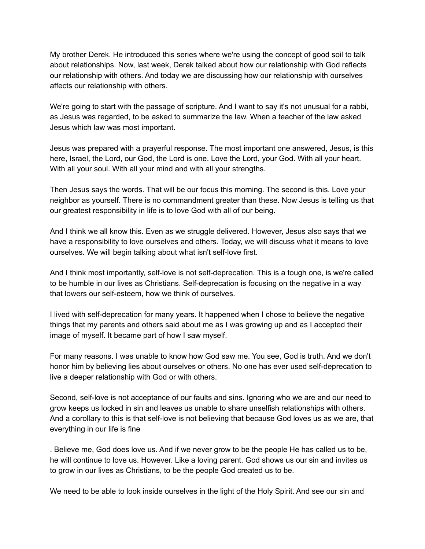My brother Derek. He introduced this series where we're using the concept of good soil to talk about relationships. Now, last week, Derek talked about how our relationship with God reflects our relationship with others. And today we are discussing how our relationship with ourselves affects our relationship with others.

We're going to start with the passage of scripture. And I want to say it's not unusual for a rabbi, as Jesus was regarded, to be asked to summarize the law. When a teacher of the law asked Jesus which law was most important.

Jesus was prepared with a prayerful response. The most important one answered, Jesus, is this here, Israel, the Lord, our God, the Lord is one. Love the Lord, your God. With all your heart. With all your soul. With all your mind and with all your strengths.

Then Jesus says the words. That will be our focus this morning. The second is this. Love your neighbor as yourself. There is no commandment greater than these. Now Jesus is telling us that our greatest responsibility in life is to love God with all of our being.

And I think we all know this. Even as we struggle delivered. However, Jesus also says that we have a responsibility to love ourselves and others. Today, we will discuss what it means to love ourselves. We will begin talking about what isn't self-love first.

And I think most importantly, self-love is not self-deprecation. This is a tough one, is we're called to be humble in our lives as Christians. Self-deprecation is focusing on the negative in a way that lowers our self-esteem, how we think of ourselves.

I lived with self-deprecation for many years. It happened when I chose to believe the negative things that my parents and others said about me as I was growing up and as I accepted their image of myself. It became part of how I saw myself.

For many reasons. I was unable to know how God saw me. You see, God is truth. And we don't honor him by believing lies about ourselves or others. No one has ever used self-deprecation to live a deeper relationship with God or with others.

Second, self-love is not acceptance of our faults and sins. Ignoring who we are and our need to grow keeps us locked in sin and leaves us unable to share unselfish relationships with others. And a corollary to this is that self-love is not believing that because God loves us as we are, that everything in our life is fine

. Believe me, God does love us. And if we never grow to be the people He has called us to be, he will continue to love us. However. Like a loving parent. God shows us our sin and invites us to grow in our lives as Christians, to be the people God created us to be.

We need to be able to look inside ourselves in the light of the Holy Spirit. And see our sin and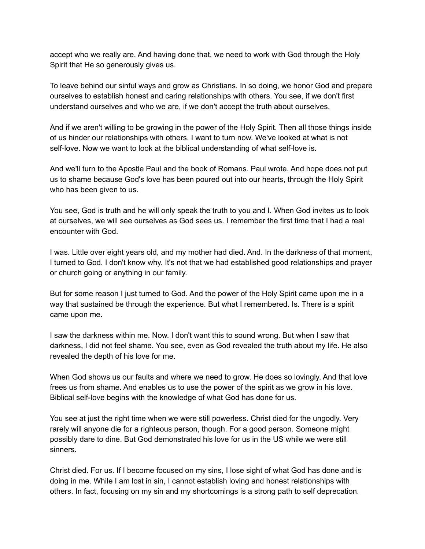accept who we really are. And having done that, we need to work with God through the Holy Spirit that He so generously gives us.

To leave behind our sinful ways and grow as Christians. In so doing, we honor God and prepare ourselves to establish honest and caring relationships with others. You see, if we don't first understand ourselves and who we are, if we don't accept the truth about ourselves.

And if we aren't willing to be growing in the power of the Holy Spirit. Then all those things inside of us hinder our relationships with others. I want to turn now. We've looked at what is not self-love. Now we want to look at the biblical understanding of what self-love is.

And we'll turn to the Apostle Paul and the book of Romans. Paul wrote. And hope does not put us to shame because God's love has been poured out into our hearts, through the Holy Spirit who has been given to us.

You see, God is truth and he will only speak the truth to you and I. When God invites us to look at ourselves, we will see ourselves as God sees us. I remember the first time that I had a real encounter with God.

I was. Little over eight years old, and my mother had died. And. In the darkness of that moment, I turned to God. I don't know why. It's not that we had established good relationships and prayer or church going or anything in our family.

But for some reason I just turned to God. And the power of the Holy Spirit came upon me in a way that sustained be through the experience. But what I remembered. Is. There is a spirit came upon me.

I saw the darkness within me. Now. I don't want this to sound wrong. But when I saw that darkness, I did not feel shame. You see, even as God revealed the truth about my life. He also revealed the depth of his love for me.

When God shows us our faults and where we need to grow. He does so lovingly. And that love frees us from shame. And enables us to use the power of the spirit as we grow in his love. Biblical self-love begins with the knowledge of what God has done for us.

You see at just the right time when we were still powerless. Christ died for the ungodly. Very rarely will anyone die for a righteous person, though. For a good person. Someone might possibly dare to dine. But God demonstrated his love for us in the US while we were still sinners.

Christ died. For us. If I become focused on my sins, I lose sight of what God has done and is doing in me. While I am lost in sin, I cannot establish loving and honest relationships with others. In fact, focusing on my sin and my shortcomings is a strong path to self deprecation.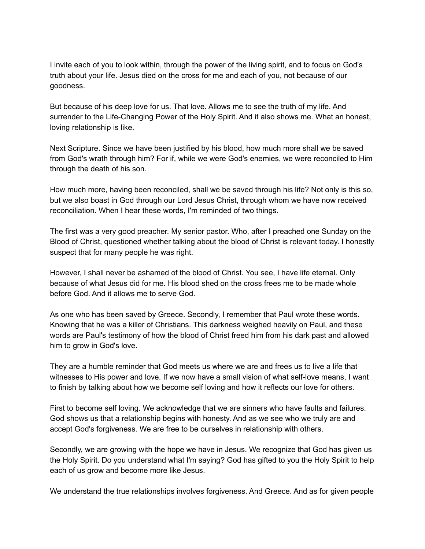I invite each of you to look within, through the power of the living spirit, and to focus on God's truth about your life. Jesus died on the cross for me and each of you, not because of our goodness.

But because of his deep love for us. That love. Allows me to see the truth of my life. And surrender to the Life-Changing Power of the Holy Spirit. And it also shows me. What an honest, loving relationship is like.

Next Scripture. Since we have been justified by his blood, how much more shall we be saved from God's wrath through him? For if, while we were God's enemies, we were reconciled to Him through the death of his son.

How much more, having been reconciled, shall we be saved through his life? Not only is this so, but we also boast in God through our Lord Jesus Christ, through whom we have now received reconciliation. When I hear these words, I'm reminded of two things.

The first was a very good preacher. My senior pastor. Who, after I preached one Sunday on the Blood of Christ, questioned whether talking about the blood of Christ is relevant today. I honestly suspect that for many people he was right.

However, I shall never be ashamed of the blood of Christ. You see, I have life eternal. Only because of what Jesus did for me. His blood shed on the cross frees me to be made whole before God. And it allows me to serve God.

As one who has been saved by Greece. Secondly, I remember that Paul wrote these words. Knowing that he was a killer of Christians. This darkness weighed heavily on Paul, and these words are Paul's testimony of how the blood of Christ freed him from his dark past and allowed him to grow in God's love.

They are a humble reminder that God meets us where we are and frees us to live a life that witnesses to His power and love. If we now have a small vision of what self-love means, I want to finish by talking about how we become self loving and how it reflects our love for others.

First to become self loving. We acknowledge that we are sinners who have faults and failures. God shows us that a relationship begins with honesty. And as we see who we truly are and accept God's forgiveness. We are free to be ourselves in relationship with others.

Secondly, we are growing with the hope we have in Jesus. We recognize that God has given us the Holy Spirit. Do you understand what I'm saying? God has gifted to you the Holy Spirit to help each of us grow and become more like Jesus.

We understand the true relationships involves forgiveness. And Greece. And as for given people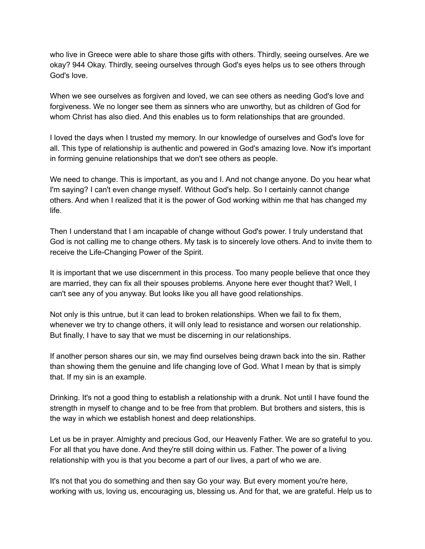who live in Greece were able to share those gifts with others. Thirdly, seeing ourselves. Are we okay? 944 Okay. Thirdly, seeing ourselves through God's eyes helps us to see others through God's love.

When we see ourselves as forgiven and loved, we can see others as needing God's love and forgiveness. We no longer see them as sinners who are unworthy, but as children of God for whom Christ has also died. And this enables us to form relationships that are grounded.

I loved the days when I trusted my memory. In our knowledge of ourselves and God's love for all. This type of relationship is authentic and powered in God's amazing love. Now it's important in forming genuine relationships that we don't see others as people.

We need to change. This is important, as you and I. And not change anyone. Do you hear what I'm saying? I can't even change myself. Without God's help. So I certainly cannot change others. And when I realized that it is the power of God working within me that has changed my life.

Then I understand that I am incapable of change without God's power. I truly understand that God is not calling me to change others. My task is to sincerely love others. And to invite them to receive the Life-Changing Power of the Spirit.

It is important that we use discernment in this process. Too many people believe that once they are married, they can fix all their spouses problems. Anyone here ever thought that? Well, I can't see any of you anyway. But looks like you all have good relationships.

Not only is this untrue, but it can lead to broken relationships. When we fail to fix them, whenever we try to change others, it will only lead to resistance and worsen our relationship. But finally, I have to say that we must be discerning in our relationships.

If another person shares our sin, we may find ourselves being drawn back into the sin. Rather than showing them the genuine and life changing love of God. What I mean by that is simply that. If my sin is an example.

Drinking. It's not a good thing to establish a relationship with a drunk. Not until I have found the strength in myself to change and to be free from that problem. But brothers and sisters, this is the way in which we establish honest and deep relationships.

Let us be in prayer. Almighty and precious God, our Heavenly Father. We are so grateful to you. For all that you have done. And they're still doing within us. Father. The power of a living relationship with you is that you become a part of our lives, a part of who we are.

It's not that you do something and then say Go your way. But every moment you're here, working with us, loving us, encouraging us, blessing us. And for that, we are grateful. Help us to